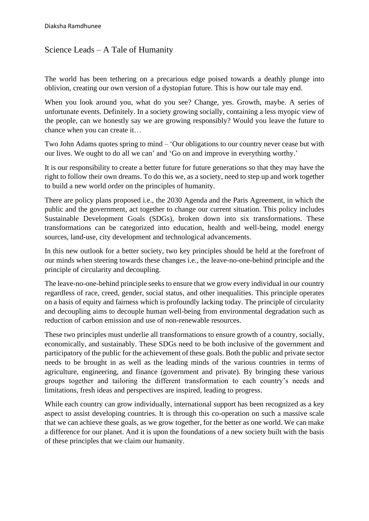## Science Leads – A Tale of Humanity

The world has been tethering on a precarious edge poised towards a deathly plunge into oblivion, creating our own version of a dystopian future. This is how our tale may end.

When you look around you, what do you see? Change, yes. Growth, maybe. A series of unfortunate events. Definitely. In a society growing socially, containing a less myopic view of the people, can we honestly say we are growing responsibly? Would you leave the future to chance when you can create it…

Two John Adams quotes spring to mind – 'Our obligations to our country never cease but with our lives. We ought to do all we can' and 'Go on and improve in everything worthy.'

It is our responsibility to create a better future for future generations so that they may have the right to follow their own dreams. To do this we, as a society, need to step up and work together to build a new world order on the principles of humanity.

There are policy plans proposed i.e., the 2030 Agenda and the Paris Agreement, in which the public and the government, act together to change our current situation. This policy includes Sustainable Development Goals (SDGs), broken down into six transformations. These transformations can be categorized into education, health and well-being, model energy sources, land-use, city development and technological advancements.

In this new outlook for a better society, two key principles should be held at the forefront of our minds when steering towards these changes i.e., the leave-no-one-behind principle and the principle of circularity and decoupling.

The leave-no-one-behind principle seeks to ensure that we grow every individual in our country regardless of race, creed, gender, social status, and other inequalities. This principle operates on a basis of equity and fairness which is profoundly lacking today. The principle of circularity and decoupling aims to decouple human well-being from environmental degradation such as reduction of carbon emission and use of non-renewable resources.

These two principles must underlie all transformations to ensure growth of a country, socially, economically, and sustainably. These SDGs need to be both inclusive of the government and participatory of the public for the achievement of these goals. Both the public and private sector needs to be brought in as well as the leading minds of the various countries in terms of agriculture, engineering, and finance (government and private). By bringing these various groups together and tailoring the different transformation to each country's needs and limitations, fresh ideas and perspectives are inspired, leading to progress.

While each country can grow individually, international support has been recognized as a key aspect to assist developing countries. It is through this co-operation on such a massive scale that we can achieve these goals, as we grow together, for the better as one world. We can make a difference for our planet. And it is upon the foundations of a new society built with the basis of these principles that we claim our humanity.